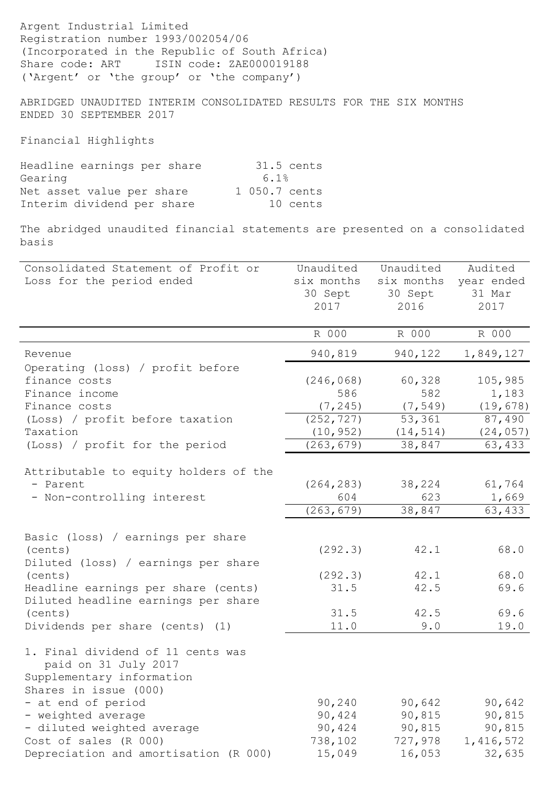Argent Industrial Limited Registration number 1993/002054/06 (Incorporated in the Republic of South Africa) Share code: ART ISIN code: ZAE000019188 ('Argent' or 'the group' or 'the company')

ABRIDGED UNAUDITED INTERIM CONSOLIDATED RESULTS FOR THE SIX MONTHS ENDED 30 SEPTEMBER 2017

Financial Highlights

| Headline earnings per share |               | 31.5 cents |
|-----------------------------|---------------|------------|
| Gearing                     | 6.1%          |            |
| Net asset value per share   | 1 050.7 cents |            |
| Interim dividend per share  |               | 10 cents   |

The abridged unaudited financial statements are presented on a consolidated basis

| Consolidated Statement of Profit or   | Unaudited  | Unaudited  | Audited    |
|---------------------------------------|------------|------------|------------|
| Loss for the period ended             | six months | six months | year ended |
|                                       | 30 Sept    | 30 Sept    | 31 Mar     |
|                                       | 2017       | 2016       | 2017       |
|                                       |            |            |            |
|                                       | R 000      | R 000      | R 000      |
| Revenue                               | 940,819    | 940,122    | 1,849,127  |
| Operating (loss) / profit before      |            |            |            |
| finance costs                         | (246, 068) | 60,328     | 105,985    |
| Finance income                        | 586        | 582        | 1,183      |
| Finance costs                         | (7, 245)   | (7, 549)   | (19, 678)  |
| (Loss) / profit before taxation       | (252, 727) | 53,361     | 87,490     |
| Taxation                              | (10, 952)  | (14, 514)  | (24, 057)  |
| (Loss) / profit for the period        | (263, 679) | 38,847     | 63,433     |
|                                       |            |            |            |
| Attributable to equity holders of the |            |            |            |
| - Parent                              | (264, 283) | 38,224     | 61,764     |
| - Non-controlling interest            | 604        | 623        | 1,669      |
|                                       | (263, 679) | 38,847     | 63,433     |
| Basic (loss) / earnings per share     |            |            |            |
| (cents)                               | (292.3)    | 42.1       | 68.0       |
| Diluted (loss) / earnings per share   |            |            |            |
| (cents)                               | (292.3)    | 42.1       | 68.0       |
| Headline earnings per share (cents)   | 31.5       | 42.5       | 69.6       |
| Diluted headline earnings per share   |            |            |            |
| (cents)                               | 31.5       | 42.5       | 69.6       |
| Dividends per share (cents) (1)       | 11.0       | 9.0        | 19.0       |
|                                       |            |            |            |
| 1. Final dividend of 11 cents was     |            |            |            |
| paid on 31 July 2017                  |            |            |            |
| Supplementary information             |            |            |            |
| Shares in issue (000)                 |            |            |            |
| - at end of period                    | 90, 240    | 90,642     | 90,642     |
| - weighted average                    | 90,424     | 90,815     | 90,815     |
| - diluted weighted average            | 90,424     | 90,815     | 90,815     |
| Cost of sales (R 000)                 | 738,102    | 727,978    | 1,416,572  |
| Depreciation and amortisation (R 000) | 15,049     | 16,053     | 32,635     |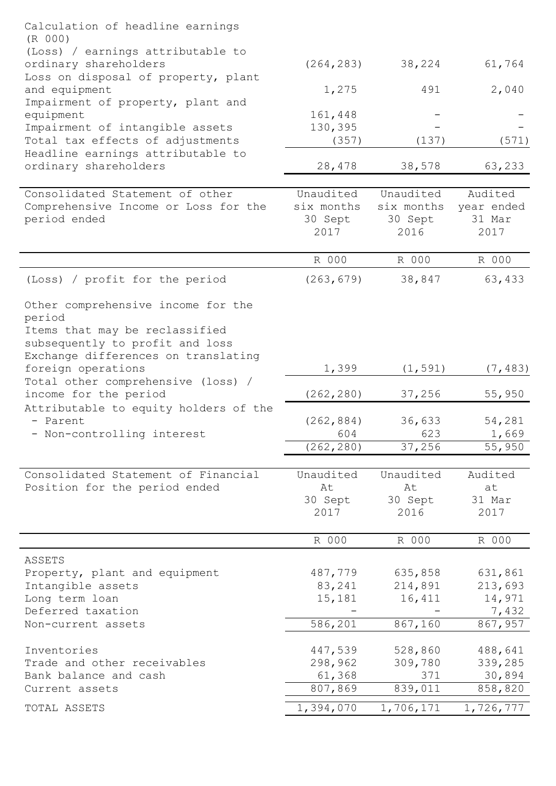| ordinary shareholders<br>38,224<br>(264, 283)<br>61,764<br>Loss on disposal of property, plant<br>and equipment<br>2,040<br>1,275<br>491<br>Impairment of property, plant and<br>161,448<br>equipment<br>130,395<br>Impairment of intangible assets<br>Total tax effects of adjustments<br>(571)<br>(357)<br>(137)<br>Headline earnings attributable to<br>ordinary shareholders<br>28,478<br>38,578<br>63,233<br>Consolidated Statement of other<br>Unaudited<br>Unaudited<br>Audited<br>six months<br>six months<br>year ended<br>Comprehensive Income or Loss for the<br>30 Sept<br>period ended<br>30 Sept<br>31 Mar<br>2017<br>2016<br>2017<br>R 000<br>R 000<br>R 000<br>38,847<br>63,433<br>(Loss) / profit for the period<br>(263, 679)<br>Other comprehensive income for the<br>period<br>Items that may be reclassified<br>subsequently to profit and loss<br>Exchange differences on translating<br>foreign operations<br>1,399<br>(1, 591)<br>(7, 483)<br>Total other comprehensive (loss) /<br>income for the period<br>(262, 280)<br>37,256<br>55,950<br>Attributable to equity holders of the<br>(262, 884)<br>36,633<br>- Parent<br>54,281<br>- Non-controlling interest<br>604<br>623<br>1,669<br>(262, 280)<br>37,256<br>55,950<br>Consolidated Statement of Financial<br>Unaudited<br>Unaudited<br>Audited<br>Position for the period ended<br>At<br>At<br>at<br>30 Sept<br>30 Sept<br>31 Mar<br>2017<br>2016<br>2017<br>R 000<br>R 000<br>R 000<br>ASSETS<br>487,779<br>635,858<br>631,861<br>Property, plant and equipment<br>Intangible assets<br>83,241<br>214,891<br>213,693<br>Long term loan<br>15,181<br>16,411<br>14,971<br>Deferred taxation<br>7,432<br>586,201<br>867,160<br>867,957<br>Non-current assets<br>Inventories<br>447,539<br>528,860<br>488,641<br>298,962<br>339,285<br>Trade and other receivables<br>309,780<br>Bank balance and cash<br>61,368<br>371<br>30,894<br>807,869<br>839,011<br>858,820<br>Current assets | Calculation of headline earnings<br>(R 000)<br>(Loss) / earnings attributable to |           |           |           |
|------------------------------------------------------------------------------------------------------------------------------------------------------------------------------------------------------------------------------------------------------------------------------------------------------------------------------------------------------------------------------------------------------------------------------------------------------------------------------------------------------------------------------------------------------------------------------------------------------------------------------------------------------------------------------------------------------------------------------------------------------------------------------------------------------------------------------------------------------------------------------------------------------------------------------------------------------------------------------------------------------------------------------------------------------------------------------------------------------------------------------------------------------------------------------------------------------------------------------------------------------------------------------------------------------------------------------------------------------------------------------------------------------------------------------------------------------------------------------------------------------------------------------------------------------------------------------------------------------------------------------------------------------------------------------------------------------------------------------------------------------------------------------------------------------------------------------------------------------------------------------------------------------------------------------------------------------------------|----------------------------------------------------------------------------------|-----------|-----------|-----------|
|                                                                                                                                                                                                                                                                                                                                                                                                                                                                                                                                                                                                                                                                                                                                                                                                                                                                                                                                                                                                                                                                                                                                                                                                                                                                                                                                                                                                                                                                                                                                                                                                                                                                                                                                                                                                                                                                                                                                                                  |                                                                                  |           |           |           |
|                                                                                                                                                                                                                                                                                                                                                                                                                                                                                                                                                                                                                                                                                                                                                                                                                                                                                                                                                                                                                                                                                                                                                                                                                                                                                                                                                                                                                                                                                                                                                                                                                                                                                                                                                                                                                                                                                                                                                                  |                                                                                  |           |           |           |
|                                                                                                                                                                                                                                                                                                                                                                                                                                                                                                                                                                                                                                                                                                                                                                                                                                                                                                                                                                                                                                                                                                                                                                                                                                                                                                                                                                                                                                                                                                                                                                                                                                                                                                                                                                                                                                                                                                                                                                  |                                                                                  |           |           |           |
|                                                                                                                                                                                                                                                                                                                                                                                                                                                                                                                                                                                                                                                                                                                                                                                                                                                                                                                                                                                                                                                                                                                                                                                                                                                                                                                                                                                                                                                                                                                                                                                                                                                                                                                                                                                                                                                                                                                                                                  |                                                                                  |           |           |           |
|                                                                                                                                                                                                                                                                                                                                                                                                                                                                                                                                                                                                                                                                                                                                                                                                                                                                                                                                                                                                                                                                                                                                                                                                                                                                                                                                                                                                                                                                                                                                                                                                                                                                                                                                                                                                                                                                                                                                                                  |                                                                                  |           |           |           |
|                                                                                                                                                                                                                                                                                                                                                                                                                                                                                                                                                                                                                                                                                                                                                                                                                                                                                                                                                                                                                                                                                                                                                                                                                                                                                                                                                                                                                                                                                                                                                                                                                                                                                                                                                                                                                                                                                                                                                                  |                                                                                  |           |           |           |
|                                                                                                                                                                                                                                                                                                                                                                                                                                                                                                                                                                                                                                                                                                                                                                                                                                                                                                                                                                                                                                                                                                                                                                                                                                                                                                                                                                                                                                                                                                                                                                                                                                                                                                                                                                                                                                                                                                                                                                  |                                                                                  |           |           |           |
|                                                                                                                                                                                                                                                                                                                                                                                                                                                                                                                                                                                                                                                                                                                                                                                                                                                                                                                                                                                                                                                                                                                                                                                                                                                                                                                                                                                                                                                                                                                                                                                                                                                                                                                                                                                                                                                                                                                                                                  |                                                                                  |           |           |           |
|                                                                                                                                                                                                                                                                                                                                                                                                                                                                                                                                                                                                                                                                                                                                                                                                                                                                                                                                                                                                                                                                                                                                                                                                                                                                                                                                                                                                                                                                                                                                                                                                                                                                                                                                                                                                                                                                                                                                                                  |                                                                                  |           |           |           |
|                                                                                                                                                                                                                                                                                                                                                                                                                                                                                                                                                                                                                                                                                                                                                                                                                                                                                                                                                                                                                                                                                                                                                                                                                                                                                                                                                                                                                                                                                                                                                                                                                                                                                                                                                                                                                                                                                                                                                                  |                                                                                  |           |           |           |
|                                                                                                                                                                                                                                                                                                                                                                                                                                                                                                                                                                                                                                                                                                                                                                                                                                                                                                                                                                                                                                                                                                                                                                                                                                                                                                                                                                                                                                                                                                                                                                                                                                                                                                                                                                                                                                                                                                                                                                  |                                                                                  |           |           |           |
|                                                                                                                                                                                                                                                                                                                                                                                                                                                                                                                                                                                                                                                                                                                                                                                                                                                                                                                                                                                                                                                                                                                                                                                                                                                                                                                                                                                                                                                                                                                                                                                                                                                                                                                                                                                                                                                                                                                                                                  |                                                                                  |           |           |           |
|                                                                                                                                                                                                                                                                                                                                                                                                                                                                                                                                                                                                                                                                                                                                                                                                                                                                                                                                                                                                                                                                                                                                                                                                                                                                                                                                                                                                                                                                                                                                                                                                                                                                                                                                                                                                                                                                                                                                                                  |                                                                                  |           |           |           |
|                                                                                                                                                                                                                                                                                                                                                                                                                                                                                                                                                                                                                                                                                                                                                                                                                                                                                                                                                                                                                                                                                                                                                                                                                                                                                                                                                                                                                                                                                                                                                                                                                                                                                                                                                                                                                                                                                                                                                                  |                                                                                  |           |           |           |
|                                                                                                                                                                                                                                                                                                                                                                                                                                                                                                                                                                                                                                                                                                                                                                                                                                                                                                                                                                                                                                                                                                                                                                                                                                                                                                                                                                                                                                                                                                                                                                                                                                                                                                                                                                                                                                                                                                                                                                  |                                                                                  |           |           |           |
|                                                                                                                                                                                                                                                                                                                                                                                                                                                                                                                                                                                                                                                                                                                                                                                                                                                                                                                                                                                                                                                                                                                                                                                                                                                                                                                                                                                                                                                                                                                                                                                                                                                                                                                                                                                                                                                                                                                                                                  |                                                                                  |           |           |           |
|                                                                                                                                                                                                                                                                                                                                                                                                                                                                                                                                                                                                                                                                                                                                                                                                                                                                                                                                                                                                                                                                                                                                                                                                                                                                                                                                                                                                                                                                                                                                                                                                                                                                                                                                                                                                                                                                                                                                                                  |                                                                                  |           |           |           |
|                                                                                                                                                                                                                                                                                                                                                                                                                                                                                                                                                                                                                                                                                                                                                                                                                                                                                                                                                                                                                                                                                                                                                                                                                                                                                                                                                                                                                                                                                                                                                                                                                                                                                                                                                                                                                                                                                                                                                                  |                                                                                  |           |           |           |
|                                                                                                                                                                                                                                                                                                                                                                                                                                                                                                                                                                                                                                                                                                                                                                                                                                                                                                                                                                                                                                                                                                                                                                                                                                                                                                                                                                                                                                                                                                                                                                                                                                                                                                                                                                                                                                                                                                                                                                  | TOTAL ASSETS                                                                     | 1,394,070 | 1,706,171 | 1,726,777 |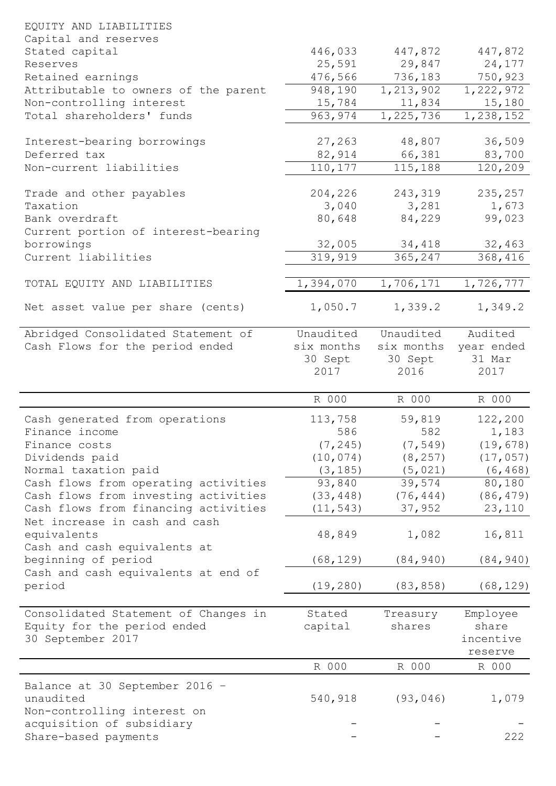| EQUITY AND LIABILITIES               |            |             |            |
|--------------------------------------|------------|-------------|------------|
| Capital and reserves                 |            |             |            |
| Stated capital                       | 446,033    | 447,872     | 447,872    |
| Reserves                             | 25,591     | 29,847      | 24,177     |
| Retained earnings                    | 476,566    | 736,183     | 750,923    |
| Attributable to owners of the parent | 948,190    | 1, 213, 902 | 1,222,972  |
| Non-controlling interest             | 15,784     | 11,834      | 15,180     |
| Total shareholders' funds            | 963, 974   | 1,225,736   | 1,238,152  |
|                                      |            |             |            |
| Interest-bearing borrowings          | 27,263     | 48,807      | 36,509     |
| Deferred tax                         | 82,914     | 66,381      | 83,700     |
| Non-current liabilities              | 110,177    | 115,188     | 120,209    |
| Trade and other payables             | 204,226    | 243,319     | 235,257    |
| Taxation                             | 3,040      | 3,281       | 1,673      |
| Bank overdraft                       | 80,648     | 84,229      | 99,023     |
| Current portion of interest-bearing  |            |             |            |
| borrowings                           | 32,005     | 34,418      | 32,463     |
| Current liabilities                  | 319,919    | 365,247     | 368,416    |
|                                      |            |             |            |
| TOTAL EQUITY AND LIABILITIES         | 1,394,070  | 1,706,171   | 1,726,777  |
|                                      |            |             |            |
| Net asset value per share (cents)    | 1,050.7    | 1,339.2     | 1,349.2    |
| Abridged Consolidated Statement of   | Unaudited  | Unaudited   | Audited    |
| Cash Flows for the period ended      | six months | six months  | year ended |
|                                      | 30 Sept    | 30 Sept     | 31 Mar     |
|                                      | 2017       | 2016        | 2017       |
|                                      |            |             |            |
|                                      | R 000      | R 000       | R 000      |
| Cash generated from operations       | 113,758    | 59,819      | 122,200    |
| Finance income                       | 586        | 582         | 1,183      |
| Finance costs                        | (7, 245)   | (7, 549)    | (19, 678)  |
| Dividends paid                       | (10, 074)  | (8, 257)    | (17, 057)  |
| Normal taxation paid                 | (3, 185)   | (5, 021)    | (6, 468)   |
| Cash flows from operating activities | 93,840     | 39,574      | 80,180     |
| Cash flows from investing activities | (33, 448)  | (76, 444)   | (86, 479)  |
| Cash flows from financing activities | (11, 543)  | 37,952      | 23,110     |
| Net increase in cash and cash        |            |             |            |
| equivalents                          | 48,849     | 1,082       | 16,811     |
| Cash and cash equivalents at         |            |             |            |
| beginning of period                  | (68, 129)  | (84, 940)   | (84, 940)  |
| Cash and cash equivalents at end of  |            |             |            |
| period                               | (19, 280)  | (83, 858)   | (68, 129)  |
|                                      |            |             |            |
| Consolidated Statement of Changes in | Stated     | Treasury    | Employee   |
| Equity for the period ended          | capital    | shares      | share      |
| 30 September 2017                    |            |             | incentive  |
|                                      | R 000      | R 000       | reserve    |
|                                      |            |             | R 000      |
| Balance at 30 September 2016 -       |            |             |            |
| unaudited                            | 540,918    | (93, 046)   | 1,079      |
| Non-controlling interest on          |            |             |            |
| acquisition of subsidiary            |            |             | 222        |
| Share-based payments                 |            |             |            |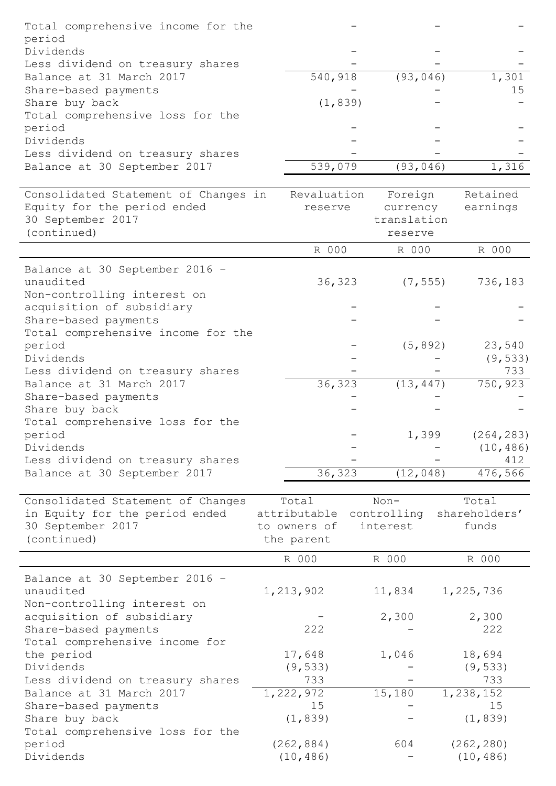| Total comprehensive income for the<br>period                     |                            |             |                |
|------------------------------------------------------------------|----------------------------|-------------|----------------|
| Dividends                                                        |                            |             |                |
| Less dividend on treasury shares<br>Balance at 31 March 2017     | 540,918                    | (93, 046)   | 1,301          |
| Share-based payments                                             |                            |             | 15             |
| Share buy back                                                   | (1, 839)                   |             |                |
| Total comprehensive loss for the                                 |                            |             |                |
| period<br>Dividends                                              |                            |             |                |
| Less dividend on treasury shares                                 |                            |             |                |
| Balance at 30 September 2017                                     | 539,079                    | (93, 046)   | 1,316          |
| Consolidated Statement of Changes in                             | Revaluation                | Foreign     | Retained       |
| Equity for the period ended                                      | reserve                    | currency    | earnings       |
| 30 September 2017                                                |                            | translation |                |
| (continued)                                                      |                            | reserve     |                |
|                                                                  | R 000                      | R 000       | R 000          |
| Balance at 30 September 2016 -                                   |                            |             |                |
| unaudited                                                        | 36,323                     | (7, 555)    | 736,183        |
| Non-controlling interest on                                      |                            |             |                |
| acquisition of subsidiary<br>Share-based payments                |                            |             |                |
| Total comprehensive income for the                               |                            |             |                |
| period                                                           |                            | (5, 892)    | 23,540         |
| Dividends                                                        |                            |             | (9, 533)       |
| Less dividend on treasury shares                                 |                            |             | 733            |
| Balance at 31 March 2017<br>Share-based payments                 | 36,323                     | (13, 447)   | 750,923        |
| Share buy back                                                   |                            |             |                |
| Total comprehensive loss for the                                 |                            |             |                |
| period                                                           |                            | 1,399       | (264, 283)     |
| Dividends                                                        |                            |             | (10, 486)      |
| Less dividend on treasury shares<br>Balance at 30 September 2017 | 36,323                     | (12, 048)   | 412<br>476,566 |
|                                                                  |                            |             |                |
| Consolidated Statement of Changes                                | Total                      | $Non-$      | Total          |
| in Equity for the period ended                                   | attributable               | controlling | shareholders'  |
| 30 September 2017<br>(continued)                                 | to owners of<br>the parent | interest    | funds          |
|                                                                  | R 000                      | R 000       | R 000          |
| Balance at 30 September 2016 -                                   |                            |             |                |
| unaudited                                                        | 1,213,902                  | 11,834      | 1,225,736      |
| Non-controlling interest on                                      |                            |             |                |
| acquisition of subsidiary<br>Share-based payments                | 222                        | 2,300       | 2,300<br>222   |
| Total comprehensive income for                                   |                            |             |                |
| the period                                                       | 17,648                     | 1,046       | 18,694         |
| Dividends                                                        | (9, 533)                   |             | (9, 533)       |
| Less dividend on treasury shares                                 | 733                        |             | 733            |
| Balance at 31 March 2017                                         | 1,222,972                  | 15,180      | 1,238,152      |
| Share-based payments<br>Share buy back                           | 15<br>(1, 839)             |             | 15<br>(1, 839) |
| Total comprehensive loss for the                                 |                            |             |                |
| period                                                           | (262, 884)                 | 604         | (262, 280)     |
| Dividends                                                        | (10, 486)                  |             | (10, 486)      |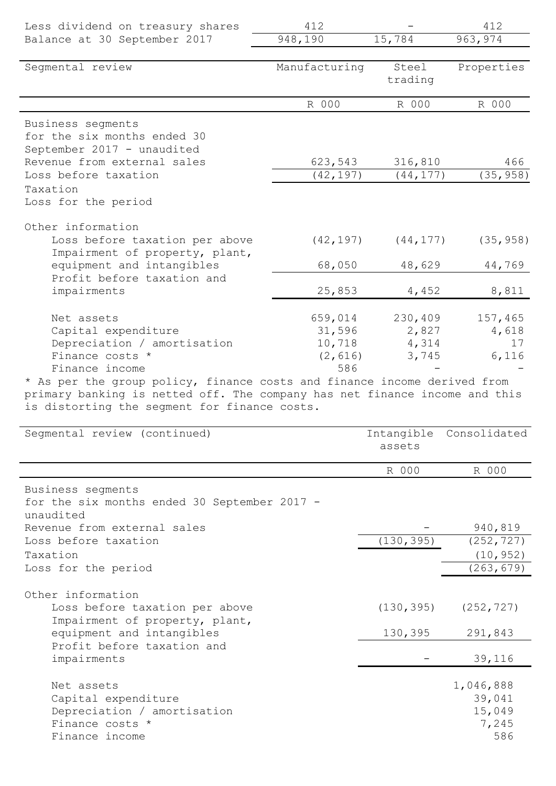| Less dividend on treasury shares                                           | 412           |           | 412        |
|----------------------------------------------------------------------------|---------------|-----------|------------|
| Balance at 30 September 2017                                               | 948,190       | 15,784    | 963, 974   |
|                                                                            |               |           |            |
| Seqmental review                                                           | Manufacturing | Steel     | Properties |
|                                                                            |               | trading   |            |
|                                                                            | R 000         | R 000     | R 000      |
| Business segments                                                          |               |           |            |
| for the six months ended 30                                                |               |           |            |
| September 2017 - unaudited                                                 |               |           |            |
| Revenue from external sales                                                | 623,543       | 316,810   | 466        |
| Loss before taxation                                                       | (42, 197)     | (44, 177) | (35, 958)  |
| Taxation                                                                   |               |           |            |
| Loss for the period                                                        |               |           |            |
| Other information                                                          |               |           |            |
| Loss before taxation per above                                             | (42, 197)     | (44, 177) | (35, 958)  |
| Impairment of property, plant,                                             |               |           |            |
| equipment and intangibles                                                  | 68,050        | 48,629    | 44,769     |
| Profit before taxation and                                                 |               |           |            |
| impairments                                                                | 25,853        | 4,452     | 8,811      |
| Net assets                                                                 | 659,014       | 230,409   | 157,465    |
| Capital expenditure                                                        | 31,596        | 2,827     | 4,618      |
| Depreciation / amortisation                                                | 10,718        | 4,314     | 17         |
| Finance costs *                                                            | (2, 616)      | 3,745     | 6,116      |
| Finance income                                                             | 586           |           |            |
| * As per the group policy, finance costs and finance income derived from   |               |           |            |
| primary banking is netted off. The company has net finance income and this |               |           |            |
| is distorting the segment for finance costs.                               |               |           |            |

| Segmental review (continued)                                                                                                                     | assets                | Intangible Consolidated                       |
|--------------------------------------------------------------------------------------------------------------------------------------------------|-----------------------|-----------------------------------------------|
|                                                                                                                                                  | R 000                 | R 000                                         |
| Business segments<br>for the six months ended 30 September 2017 -<br>unaudited                                                                   |                       |                                               |
| Revenue from external sales                                                                                                                      |                       | 940,819                                       |
| Loss before taxation                                                                                                                             | (130, 395)            | (252, 727)                                    |
| Taxation                                                                                                                                         |                       | (10, 952)                                     |
| Loss for the period                                                                                                                              |                       | (263, 679)                                    |
| Other information<br>Loss before taxation per above<br>Impairment of property, plant,<br>equipment and intangibles<br>Profit before taxation and | (130, 395)<br>130,395 | (252, 727)<br>291,843                         |
| impairments                                                                                                                                      |                       | 39,116                                        |
| Net assets<br>Capital expenditure<br>Depreciation / amortisation<br>Finance costs *<br>Finance income                                            |                       | 1,046,888<br>39,041<br>15,049<br>7,245<br>586 |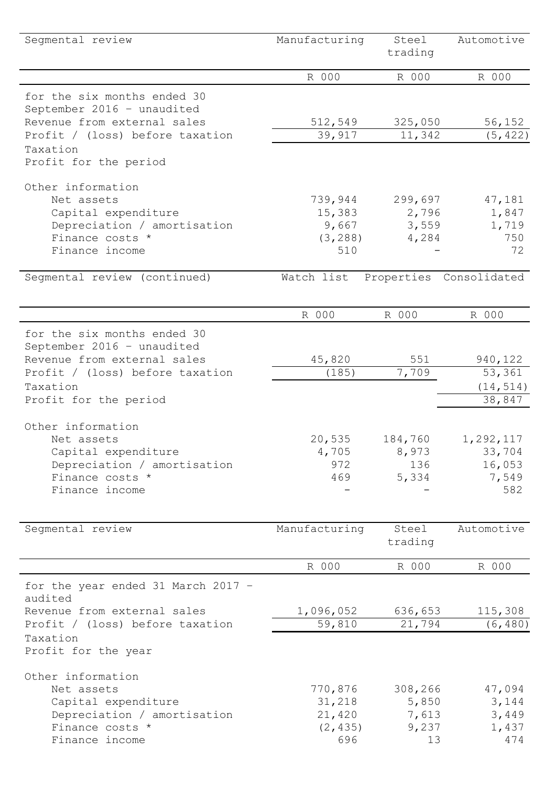| Segmental review                                                                         | Manufacturing     | Steel<br>trading | Automotive              |
|------------------------------------------------------------------------------------------|-------------------|------------------|-------------------------|
|                                                                                          | R 000             | R 000            | R 000                   |
| for the six months ended 30<br>September 2016 - unaudited<br>Revenue from external sales | 512,549           | 325,050          | 56,152                  |
| Profit / (loss) before taxation                                                          | 39,917            | 11,342           | (5, 422)                |
| Taxation<br>Profit for the period                                                        |                   |                  |                         |
| Other information                                                                        |                   |                  |                         |
| Net assets<br>Capital expenditure                                                        | 739,944<br>15,383 | 299,697<br>2,796 | 47,181<br>1,847         |
| Depreciation / amortisation                                                              | 9,667             | 3,559            | 1,719                   |
| Finance costs *                                                                          | (3, 288)          | 4,284            | 750                     |
| Finance income                                                                           | 510               |                  | 72                      |
| Segmental review (continued)                                                             | Watch list        |                  | Properties Consolidated |
|                                                                                          |                   |                  |                         |
|                                                                                          | R 000             | R 000            | R 000                   |
| for the six months ended 30<br>September 2016 - unaudited                                |                   |                  |                         |
| Revenue from external sales                                                              | 45,820            | 551              | 940,122                 |
| Profit / (loss) before taxation                                                          | (185)             | 7,709            | 53,361                  |
| Taxation                                                                                 |                   |                  | (14, 514)<br>38,847     |
| Profit for the period                                                                    |                   |                  |                         |
| Other information                                                                        |                   |                  |                         |
| Net assets                                                                               | 20,535            | 184,760          | 1,292,117               |
| Capital expenditure                                                                      | 4,705             | 8,973            | 33,704                  |
| Depreciation / amortisation                                                              | 972               | 136              | 16,053                  |
| Finance costs *                                                                          | 469               | 5,334            | 7,549                   |
| Finance income                                                                           |                   |                  | 582                     |
| Seqmental review                                                                         | Manufacturing     | Steel            | Automotive              |
|                                                                                          |                   | trading          |                         |
|                                                                                          | R 000             | R 000            | R 000                   |
| for the year ended 31 March 2017 -<br>audited                                            |                   |                  |                         |
| Revenue from external sales                                                              | 1,096,052         | 636,653          | 115,308                 |
| Profit / (loss) before taxation                                                          | 59,810            | 21,794           | (6, 480)                |
| Taxation<br>Profit for the year                                                          |                   |                  |                         |
| Other information                                                                        |                   |                  |                         |
| Net assets                                                                               | 770,876           | 308,266          | 47,094                  |
| Capital expenditure                                                                      | 31,218            | 5,850            | 3,144                   |
| Depreciation / amortisation                                                              | 21,420            | 7,613            | 3,449                   |
| Finance costs *                                                                          | (2, 435)          | 9,237            | 1,437                   |
| Finance income                                                                           | 696               | 13               | 474                     |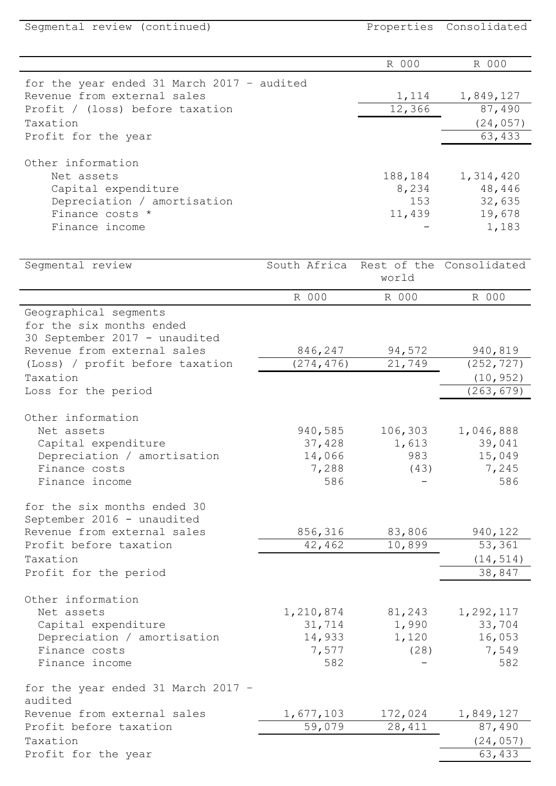| Segmental review (continued)               |                       |                   | Properties Consolidated  |
|--------------------------------------------|-----------------------|-------------------|--------------------------|
|                                            |                       | R 000             | R 000                    |
| for the year ended 31 March 2017 - audited |                       |                   |                          |
| Revenue from external sales                |                       | 1,114             | 1,849,127                |
| Profit / (loss) before taxation            |                       | 12,366            | 87,490                   |
| Taxation                                   |                       |                   | (24, 057)                |
| Profit for the year                        |                       |                   | 63,433                   |
| Other information                          |                       |                   |                          |
| Net assets                                 |                       | 188,184           | 1,314,420                |
| Capital expenditure                        |                       | 8,234             | 48,446                   |
| Depreciation / amortisation                |                       | 153               | 32,635                   |
| Finance costs *                            |                       | 11,439            | 19,678                   |
| Finance income                             |                       |                   | 1,183                    |
|                                            |                       |                   |                          |
| Segmental review                           | South Africa          | world             | Rest of the Consolidated |
|                                            | R 000                 | R 000             | R 000                    |
| Geographical segments                      |                       |                   |                          |
| for the six months ended                   |                       |                   |                          |
| 30 September 2017 - unaudited              |                       |                   |                          |
| Revenue from external sales                | 846,247<br>(274, 476) | 94,572<br>21,749  | 940,819                  |
| (Loss) / profit before taxation            |                       |                   | (252, 727)               |
| Taxation                                   |                       |                   | (10, 952)<br>(263, 679)  |
| Loss for the period                        |                       |                   |                          |
| Other information                          |                       |                   |                          |
| Net assets                                 | 940,585               | 106,303           | 1,046,888                |
| Capital expenditure                        | 37,428                | 1,613             | 39,041                   |
| Depreciation / amortisation                | 14,066                | 983               | 15,049                   |
| Finance costs                              | 7,288                 | (43)              | 7,245                    |
| Finance income                             | 586                   |                   | 586                      |
| for the six months ended 30                |                       |                   |                          |
| September 2016 - unaudited                 |                       |                   |                          |
| Revenue from external sales                | 856,316               | 83,806            | 940,122                  |
| Profit before taxation                     | 42,462                | 10,899            | 53,361                   |
| Taxation                                   |                       |                   | (14, 514)                |
| Profit for the period                      |                       |                   | 38,847                   |
| Other information                          |                       |                   |                          |
| Net assets                                 | 1,210,874             | 81,243            | 1,292,117                |
| Capital expenditure                        | 31,714                | 1,990             | 33,704                   |
| Depreciation / amortisation                | 14,933                | 1,120             | 16,053                   |
| Finance costs                              | 7,577                 | (28)              | 7,549                    |
| Finance income                             | 582                   |                   | 582                      |
| for the year ended 31 March 2017 -         |                       |                   |                          |
| audited<br>Revenue from external sales     |                       |                   |                          |
| Profit before taxation                     | 1,677,103<br>59,079   | 172,024<br>28,411 | 1,849,127<br>87,490      |
| Taxation                                   |                       |                   | (24, 057)                |
| Profit for the year                        |                       |                   | 63,433                   |
|                                            |                       |                   |                          |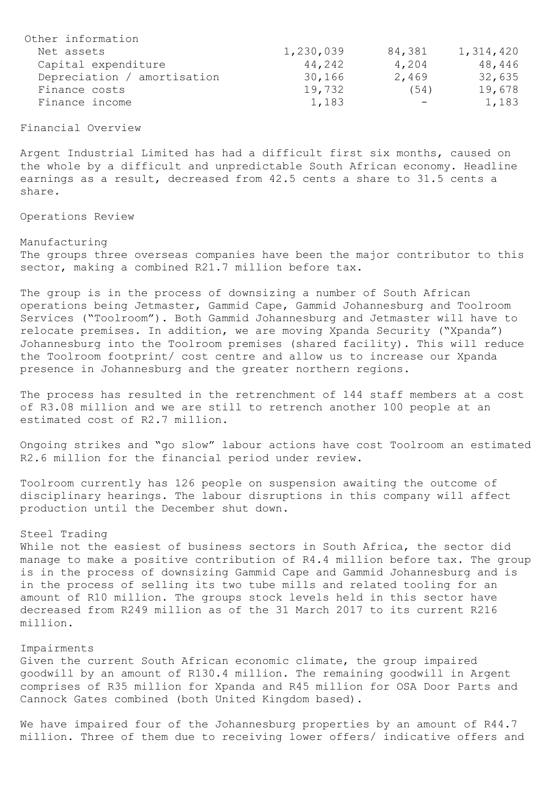| Other information           |           |                  |           |
|-----------------------------|-----------|------------------|-----------|
| Net assets                  | 1,230,039 | 84,381           | 1,314,420 |
| Capital expenditure         | 44,242    | 4,204            | 48,446    |
| Depreciation / amortisation | 30,166    | 2,469            | 32,635    |
| Finance costs               | 19,732    | (54)             | 19,678    |
| Finance income              | 1,183     | $\hspace{0.1mm}$ | 1,183     |

### Financial Overview

Argent Industrial Limited has had a difficult first six months, caused on the whole by a difficult and unpredictable South African economy. Headline earnings as a result, decreased from 42.5 cents a share to 31.5 cents a share.

Operations Review

### Manufacturing

The groups three overseas companies have been the major contributor to this sector, making a combined R21.7 million before tax.

The group is in the process of downsizing a number of South African operations being Jetmaster, Gammid Cape, Gammid Johannesburg and Toolroom Services ("Toolroom"). Both Gammid Johannesburg and Jetmaster will have to relocate premises. In addition, we are moving Xpanda Security ("Xpanda") Johannesburg into the Toolroom premises (shared facility). This will reduce the Toolroom footprint/ cost centre and allow us to increase our Xpanda presence in Johannesburg and the greater northern regions.

The process has resulted in the retrenchment of 144 staff members at a cost of R3.08 million and we are still to retrench another 100 people at an estimated cost of R2.7 million.

Ongoing strikes and "go slow" labour actions have cost Toolroom an estimated R2.6 million for the financial period under review.

Toolroom currently has 126 people on suspension awaiting the outcome of disciplinary hearings. The labour disruptions in this company will affect production until the December shut down.

#### Steel Trading

While not the easiest of business sectors in South Africa, the sector did manage to make a positive contribution of R4.4 million before tax. The group is in the process of downsizing Gammid Cape and Gammid Johannesburg and is in the process of selling its two tube mills and related tooling for an amount of R10 million. The groups stock levels held in this sector have decreased from R249 million as of the 31 March 2017 to its current R216 million.

## Impairments

Given the current South African economic climate, the group impaired goodwill by an amount of R130.4 million. The remaining goodwill in Argent comprises of R35 million for Xpanda and R45 million for OSA Door Parts and Cannock Gates combined (both United Kingdom based).

We have impaired four of the Johannesburg properties by an amount of R44.7 million. Three of them due to receiving lower offers/ indicative offers and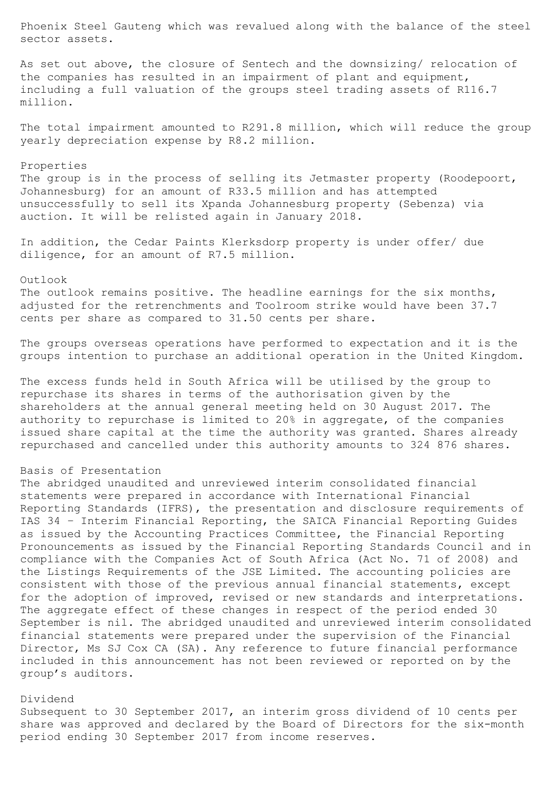Phoenix Steel Gauteng which was revalued along with the balance of the steel sector assets.

As set out above, the closure of Sentech and the downsizing/ relocation of the companies has resulted in an impairment of plant and equipment, including a full valuation of the groups steel trading assets of R116.7 million.

The total impairment amounted to R291.8 million, which will reduce the group yearly depreciation expense by R8.2 million.

### Properties

The group is in the process of selling its Jetmaster property (Roodepoort, Johannesburg) for an amount of R33.5 million and has attempted unsuccessfully to sell its Xpanda Johannesburg property (Sebenza) via auction. It will be relisted again in January 2018.

In addition, the Cedar Paints Klerksdorp property is under offer/ due diligence, for an amount of R7.5 million.

Outlook

The outlook remains positive. The headline earnings for the six months, adjusted for the retrenchments and Toolroom strike would have been 37.7 cents per share as compared to 31.50 cents per share.

The groups overseas operations have performed to expectation and it is the groups intention to purchase an additional operation in the United Kingdom.

The excess funds held in South Africa will be utilised by the group to repurchase its shares in terms of the authorisation given by the shareholders at the annual general meeting held on 30 August 2017. The authority to repurchase is limited to 20% in aggregate, of the companies issued share capital at the time the authority was granted. Shares already repurchased and cancelled under this authority amounts to 324 876 shares.

# Basis of Presentation

The abridged unaudited and unreviewed interim consolidated financial statements were prepared in accordance with International Financial Reporting Standards (IFRS), the presentation and disclosure requirements of IAS 34 – Interim Financial Reporting, the SAICA Financial Reporting Guides as issued by the Accounting Practices Committee, the Financial Reporting Pronouncements as issued by the Financial Reporting Standards Council and in compliance with the Companies Act of South Africa (Act No. 71 of 2008) and the Listings Requirements of the JSE Limited. The accounting policies are consistent with those of the previous annual financial statements, except for the adoption of improved, revised or new standards and interpretations. The aggregate effect of these changes in respect of the period ended 30 September is nil. The abridged unaudited and unreviewed interim consolidated financial statements were prepared under the supervision of the Financial Director, Ms SJ Cox CA (SA). Any reference to future financial performance included in this announcement has not been reviewed or reported on by the group's auditors.

### Dividend

Subsequent to 30 September 2017, an interim gross dividend of 10 cents per share was approved and declared by the Board of Directors for the six-month period ending 30 September 2017 from income reserves.